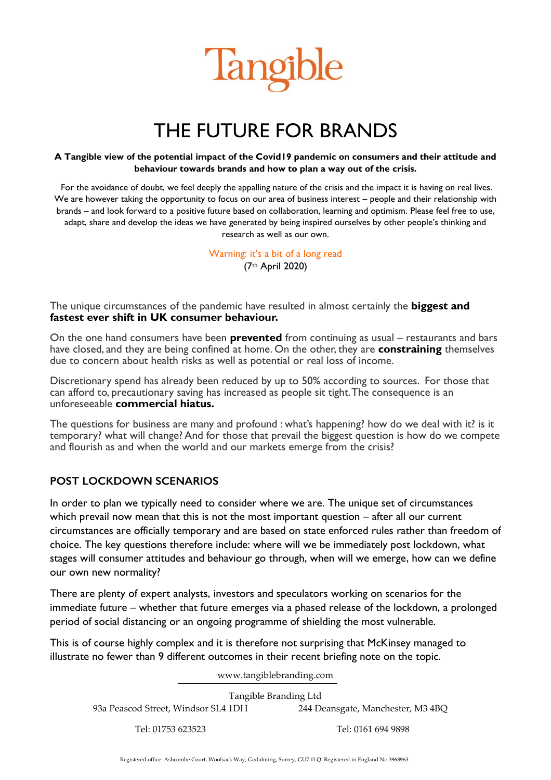

# THE FUTURE FOR BRANDS

#### **A Tangible view of the potential impact of the Covid19 pandemic on consumers and their attitude and behaviour towards brands and how to plan a way out of the crisis.**

For the avoidance of doubt, we feel deeply the appalling nature of the crisis and the impact it is having on real lives. We are however taking the opportunity to focus on our area of business interest – people and their relationship with brands – and look forward to a positive future based on collaboration, learning and optimism. Please feel free to use, adapt, share and develop the ideas we have generated by being inspired ourselves by other people's thinking and research as well as our own.

> Warning: it's a bit of a long read (7th April 2020)

The unique circumstances of the pandemic have resulted in almost certainly the **biggest and fastest ever shift in UK consumer behaviour.** 

On the one hand consumers have been **prevented** from continuing as usual – restaurants and bars have closed, and they are being confined at home. On the other, they are **constraining** themselves due to concern about health risks as well as potential or real loss of income.

Discretionary spend has already been reduced by up to 50% according to sources. For those that can afford to, precautionary saving has increased as people sit tight. The consequence is an unforeseeable **commercial hiatus.**

The questions for business are many and profound : what's happening? how do we deal with it? is it temporary? what will change? And for those that prevail the biggest question is how do we compete and flourish as and when the world and our markets emerge from the crisis?

#### **POST LOCKDOWN SCENARIOS**

In order to plan we typically need to consider where we are. The unique set of circumstances which prevail now mean that this is not the most important question – after all our current circumstances are officially temporary and are based on state enforced rules rather than freedom of choice. The key questions therefore include: where will we be immediately post lockdown, what stages will consumer attitudes and behaviour go through, when will we emerge, how can we define our own new normality?

There are plenty of expert analysts, investors and speculators working on scenarios for the immediate future – whether that future emerges via a phased release of the lockdown, a prolonged period of social distancing or an ongoing programme of shielding the most vulnerable.

This is of course highly complex and it is therefore not surprising that McKinsey managed to illustrate no fewer than 9 different outcomes in their recent briefing note on the topic.

www.tangiblebranding.com

Tangible Branding Ltd 93a Peascod Street, Windsor SL4 1DH 244 Deansgate, Manchester, M3 4BQ

Tel: 01753 623523 Tel: 0161 694 9898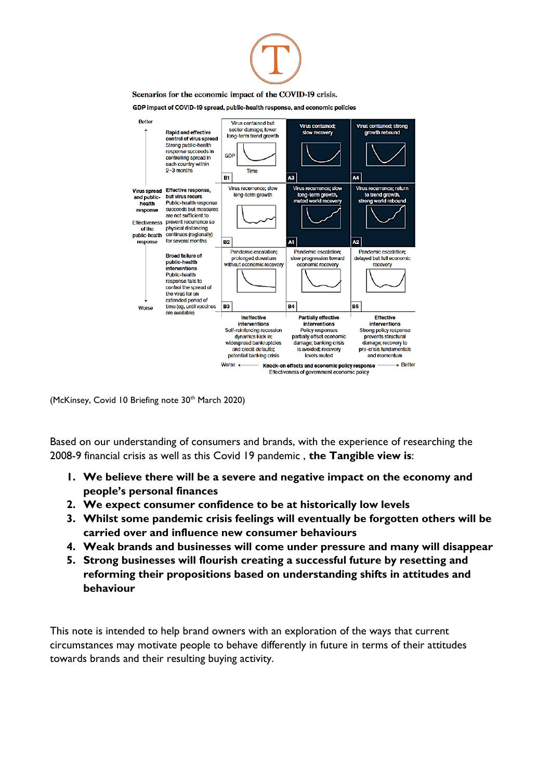

(McKinsey, Covid 10 Briefing note 30<sup>th</sup> March 2020)

Based on our understanding of consumers and brands, with the experience of researching the 2008-9 financial crisis as well as this Covid 19 pandemic , **the Tangible view is**:

- **1. We believe there will be a severe and negative impact on the economy and people's personal finances**
- **2. We expect consumer confidence to be at historically low levels**
- **3. Whilst some pandemic crisis feelings will eventually be forgotten others will be carried over and influence new consumer behaviours**
- **4. Weak brands and businesses will come under pressure and many will disappear**
- **5. Strong businesses will flourish creating a successful future by resetting and reforming their propositions based on understanding shifts in attitudes and behaviour**

This note is intended to help brand owners with an exploration of the ways that current circumstances may motivate people to behave differently in future in terms of their attitudes towards brands and their resulting buying activity.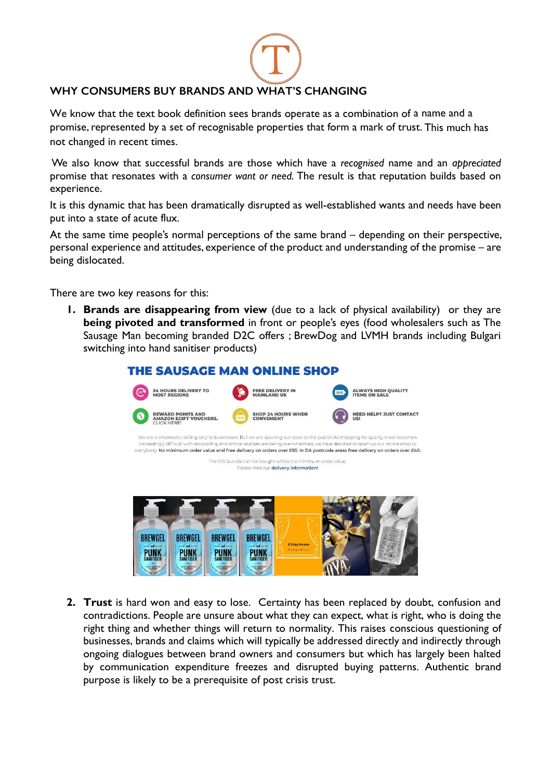## **WHY CONSUMERS BUY BRANDS AND WHAT'S CHANGING**

We know that the text book definition sees brands operate as a combination of a name and a promise, represented by a set of recognisable properties that form a mark of trust. This much has not changed in recent times.

We also know that successful brands are those which have a *recognised* name and an *appreciated*  promise that resonates with a *consumer want or need.* The result is that reputation builds based on experience.

It is this dynamic that has been dramatically disrupted as well-established wants and needs have been put into a state of acute flux.

At the same time people's normal perceptions of the same brand – depending on their perspective, personal experience and attitudes, experience of the product and understanding of the promise – are being dislocated.

There are two key reasons for this:

**1. Brands are disappearing from view** (due to a lack of physical availability) or they are **being pivoted and transformed** in front or people's eyes (food wholesalers such as The Sausage Man becoming branded D2C offers ; BrewDog and LVMH brands including Bulgari switching into hand sanitiser products)

| <b>THE SAUSAGE MAN ONLINE SHOP</b>                                                                  |                                                                                                                                                                                                                                                                        |                                                                                                                                |  |  |  |
|-----------------------------------------------------------------------------------------------------|------------------------------------------------------------------------------------------------------------------------------------------------------------------------------------------------------------------------------------------------------------------------|--------------------------------------------------------------------------------------------------------------------------------|--|--|--|
| <b>24 HOURS DELIVERY TO</b><br><b>MOST REGIONS</b>                                                  | <b>FREE DELIVERY IN</b><br><b>MAINLAND UK</b>                                                                                                                                                                                                                          | <b>ALWAYS HIGH QUALITY</b><br>SALE<br><b>ITEMS ON SALE</b>                                                                     |  |  |  |
| <b>REWARD POINTS AND</b><br><b>AMAZON EGIFT VOUCHERS.</b><br>CLICK HERE!                            | <b>SHOP 24 HOURS WHEN</b><br><b>CONVENIENT</b>                                                                                                                                                                                                                         | <b>NEED HELP? JUST CONTACT</b><br><b>US!</b>                                                                                   |  |  |  |
|                                                                                                     | We are a wholesaler, selling only to businesses. But we are opening our store to the public! As shopping for quality meat becomes<br>increasingly difficult with stockpiling and online retailers are being overwhelmed, we have decided to open up our online shop to | everybody. No minimum order value and free delivery on orders over £65. In DA postcode areas free delivery on orders over £40. |  |  |  |
| The VW bundle can be bought without a minimum order value.<br>Please read our delivery information! |                                                                                                                                                                                                                                                                        |                                                                                                                                |  |  |  |
|                                                                                                     |                                                                                                                                                                                                                                                                        |                                                                                                                                |  |  |  |
|                                                                                                     |                                                                                                                                                                                                                                                                        |                                                                                                                                |  |  |  |
|                                                                                                     |                                                                                                                                                                                                                                                                        |                                                                                                                                |  |  |  |
| <b>BREWGEL</b><br><b>BREWGEL</b><br><b>BREWGEL</b><br><b>MONEY AND IN EXCHANGE</b>                  | <b>BREWGEL</b><br>#StayHome<br>With Acquis di Polima                                                                                                                                                                                                                   |                                                                                                                                |  |  |  |
| SANITISEI                                                                                           |                                                                                                                                                                                                                                                                        |                                                                                                                                |  |  |  |

**2. Trust** is hard won and easy to lose. Certainty has been replaced by doubt, confusion and contradictions. People are unsure about what they can expect, what is right, who is doing the right thing and whether things will return to normality. This raises conscious questioning of businesses, brands and claims which will typically be addressed directly and indirectly through ongoing dialogues between brand owners and consumers but which has largely been halted by communication expenditure freezes and disrupted buying patterns. Authentic brand purpose is likely to be a prerequisite of post crisis trust.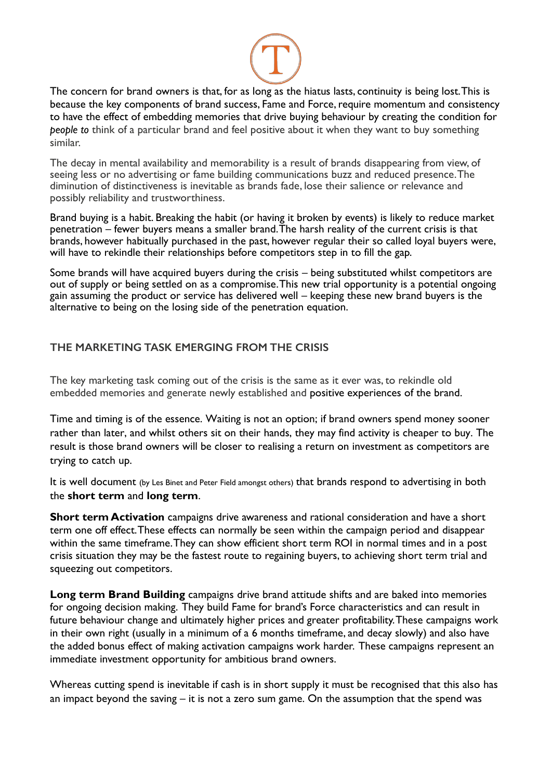

The concern for brand owners is that, for as long as the hiatus lasts, continuity is being lost. This is because the key components of brand success, Fame and Force, require momentum and consistency to have the effect of embedding memories that drive buying behaviour by creating the condition for *people to* think of a particular brand and feel positive about it when they want to buy something similar.

The decay in mental availability and memorability is a result of brands disappearing from view, of seeing less or no advertising or fame building communications buzz and reduced presence. The diminution of distinctiveness is inevitable as brands fade, lose their salience or relevance and possibly reliability and trustworthiness.

Brand buying is a habit. Breaking the habit (or having it broken by events) is likely to reduce market penetration – fewer buyers means a smaller brand. The harsh reality of the current crisis is that brands, however habitually purchased in the past, however regular their so called loyal buyers were, will have to rekindle their relationships before competitors step in to fill the gap.

Some brands will have acquired buyers during the crisis – being substituted whilst competitors are out of supply or being settled on as a compromise. This new trial opportunity is a potential ongoing gain assuming the product or service has delivered well – keeping these new brand buyers is the alternative to being on the losing side of the penetration equation.

## **THE MARKETING TASK EMERGING FROM THE CRISIS**

The key marketing task coming out of the crisis is the same as it ever was, to rekindle old embedded memories and generate newly established and positive experiences of the brand.

Time and timing is of the essence. Waiting is not an option; if brand owners spend money sooner rather than later, and whilst others sit on their hands, they may find activity is cheaper to buy. The result is those brand owners will be closer to realising a return on investment as competitors are trying to catch up.

It is well document (by Les Binet and Peter Field amongst others) that brands respond to advertising in both the **short term** and **long term**.

**Short term Activation** campaigns drive awareness and rational consideration and have a short term one off effect. These effects can normally be seen within the campaign period and disappear within the same timeframe. They can show efficient short term ROI in normal times and in a post crisis situation they may be the fastest route to regaining buyers, to achieving short term trial and squeezing out competitors.

**Long term Brand Building** campaigns drive brand attitude shifts and are baked into memories for ongoing decision making. They build Fame for brand's Force characteristics and can result in future behaviour change and ultimately higher prices and greater profitability.These campaigns work in their own right (usually in a minimum of a 6 months timeframe, and decay slowly) and also have the added bonus effect of making activation campaigns work harder. These campaigns represent an immediate investment opportunity for ambitious brand owners.

Whereas cutting spend is inevitable if cash is in short supply it must be recognised that this also has an impact beyond the saving – it is not a zero sum game. On the assumption that the spend was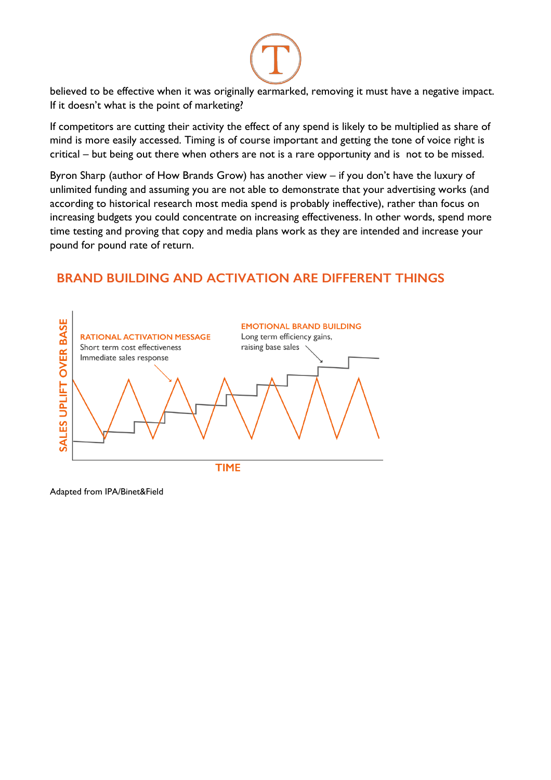

believed to be effective when it was originally earmarked, removing it must have a negative impact. If it doesn't what is the point of marketing?

If competitors are cutting their activity the effect of any spend is likely to be multiplied as share of mind is more easily accessed. Timing is of course important and getting the tone of voice right is critical – but being out there when others are not is a rare opportunity and is not to be missed.

Byron Sharp (author of How Brands Grow) has another view – if you don't have the luxury of unlimited funding and assuming you are not able to demonstrate that your advertising works (and according to historical research most media spend is probably ineffective), rather than focus on increasing budgets you could concentrate on increasing effectiveness. In other words, spend more time testing and proving that copy and media plans work as they are intended and increase your pound for pound rate of return.

# **BRAND BUILDING AND ACTIVATION ARE DIFFERENT THINGS**



Adapted from IPA/Binet&Field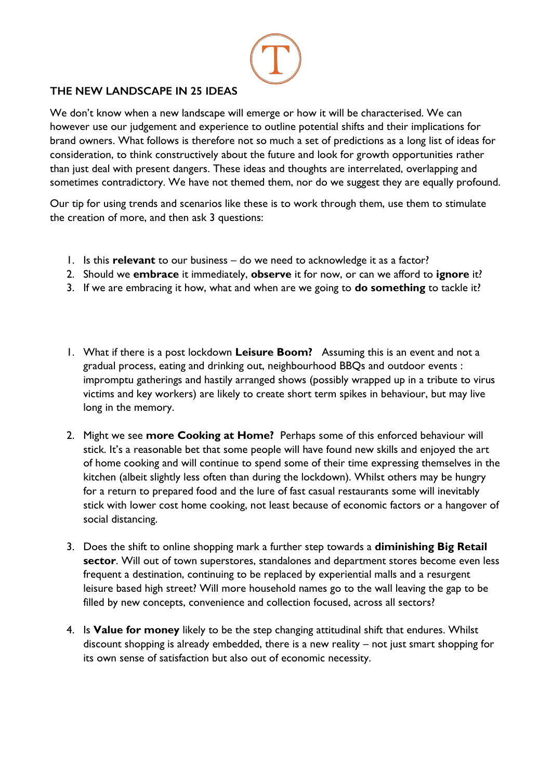

# **THE NEW LANDSCAPE IN 25 IDEAS**

We don't know when a new landscape will emerge or how it will be characterised. We can however use our judgement and experience to outline potential shifts and their implications for brand owners. What follows is therefore not so much a set of predictions as a long list of ideas for consideration, to think constructively about the future and look for growth opportunities rather than just deal with present dangers. These ideas and thoughts are interrelated, overlapping and sometimes contradictory. We have not themed them, nor do we suggest they are equally profound.

Our tip for using trends and scenarios like these is to work through them, use them to stimulate the creation of more, and then ask 3 questions:

- 1. Is this **relevant** to our business do we need to acknowledge it as a factor?
- 2. Should we **embrace** it immediately, **observe** it for now, or can we afford to **ignore** it?
- 3. If we are embracing it how, what and when are we going to **do something** to tackle it?
- 1. What if there is a post lockdown **Leisure Boom?** Assuming this is an event and not a gradual process, eating and drinking out, neighbourhood BBQs and outdoor events : impromptu gatherings and hastily arranged shows (possibly wrapped up in a tribute to virus victims and key workers) are likely to create short term spikes in behaviour, but may live long in the memory.
- 2. Might we see **more Cooking at Home?** Perhaps some of this enforced behaviour will stick. It's a reasonable bet that some people will have found new skills and enjoyed the art of home cooking and will continue to spend some of their time expressing themselves in the kitchen (albeit slightly less often than during the lockdown). Whilst others may be hungry for a return to prepared food and the lure of fast casual restaurants some will inevitably stick with lower cost home cooking, not least because of economic factors or a hangover of social distancing.
- 3. Does the shift to online shopping mark a further step towards a **diminishing Big Retail sector**. Will out of town superstores, standalones and department stores become even less frequent a destination, continuing to be replaced by experiential malls and a resurgent leisure based high street? Will more household names go to the wall leaving the gap to be filled by new concepts, convenience and collection focused, across all sectors?
- 4. Is **Value for money** likely to be the step changing attitudinal shift that endures. Whilst discount shopping is already embedded, there is a new reality – not just smart shopping for its own sense of satisfaction but also out of economic necessity.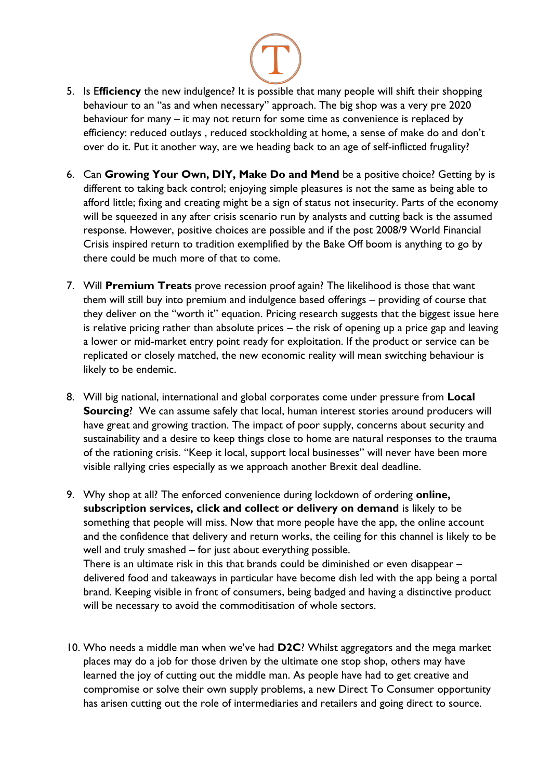

- 5. Is E**fficiency** the new indulgence? It is possible that many people will shift their shopping behaviour to an "as and when necessary" approach. The big shop was a very pre 2020 behaviour for many – it may not return for some time as convenience is replaced by efficiency: reduced outlays , reduced stockholding at home, a sense of make do and don't over do it. Put it another way, are we heading back to an age of self-inflicted frugality?
- 6. Can **Growing Your Own, DIY, Make Do and Mend** be a positive choice? Getting by is different to taking back control; enjoying simple pleasures is not the same as being able to afford little; fixing and creating might be a sign of status not insecurity. Parts of the economy will be squeezed in any after crisis scenario run by analysts and cutting back is the assumed response. However, positive choices are possible and if the post 2008/9 World Financial Crisis inspired return to tradition exemplified by the Bake Off boom is anything to go by there could be much more of that to come.
- 7. Will **Premium Treats** prove recession proof again? The likelihood is those that want them will still buy into premium and indulgence based offerings – providing of course that they deliver on the "worth it" equation. Pricing research suggests that the biggest issue here is relative pricing rather than absolute prices – the risk of opening up a price gap and leaving a lower or mid-market entry point ready for exploitation. If the product or service can be replicated or closely matched, the new economic reality will mean switching behaviour is likely to be endemic.
- 8. Will big national, international and global corporates come under pressure from **Local Sourcing**? We can assume safely that local, human interest stories around producers will have great and growing traction. The impact of poor supply, concerns about security and sustainability and a desire to keep things close to home are natural responses to the trauma of the rationing crisis. "Keep it local, support local businesses" will never have been more visible rallying cries especially as we approach another Brexit deal deadline.
- 9. Why shop at all? The enforced convenience during lockdown of ordering **online, subscription services, click and collect or delivery on demand** is likely to be something that people will miss. Now that more people have the app, the online account and the confidence that delivery and return works, the ceiling for this channel is likely to be well and truly smashed – for just about everything possible. There is an ultimate risk in this that brands could be diminished or even disappear – delivered food and takeaways in particular have become dish led with the app being a portal brand. Keeping visible in front of consumers, being badged and having a distinctive product will be necessary to avoid the commoditisation of whole sectors.
- 10. Who needs a middle man when we've had **D2C**? Whilst aggregators and the mega market places may do a job for those driven by the ultimate one stop shop, others may have learned the joy of cutting out the middle man. As people have had to get creative and compromise or solve their own supply problems, a new Direct To Consumer opportunity has arisen cutting out the role of intermediaries and retailers and going direct to source.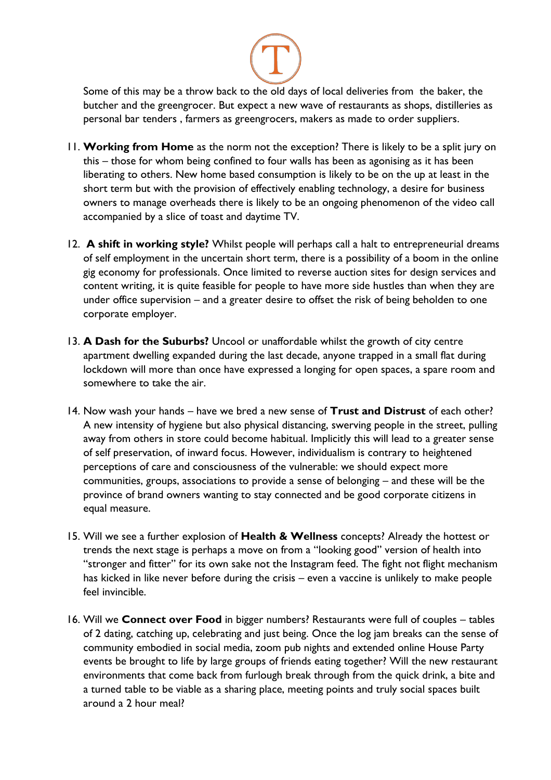

Some of this may be a throw back to the old days of local deliveries from the baker, the butcher and the greengrocer. But expect a new wave of restaurants as shops, distilleries as personal bar tenders , farmers as greengrocers, makers as made to order suppliers.

- 11. **Working from Home** as the norm not the exception? There is likely to be a split jury on this – those for whom being confined to four walls has been as agonising as it has been liberating to others. New home based consumption is likely to be on the up at least in the short term but with the provision of effectively enabling technology, a desire for business owners to manage overheads there is likely to be an ongoing phenomenon of the video call accompanied by a slice of toast and daytime TV.
- 12. **A shift in working style?** Whilst people will perhaps call a halt to entrepreneurial dreams of self employment in the uncertain short term, there is a possibility of a boom in the online gig economy for professionals. Once limited to reverse auction sites for design services and content writing, it is quite feasible for people to have more side hustles than when they are under office supervision – and a greater desire to offset the risk of being beholden to one corporate employer.
- 13. **A Dash for the Suburbs?** Uncool or unaffordable whilst the growth of city centre apartment dwelling expanded during the last decade, anyone trapped in a small flat during lockdown will more than once have expressed a longing for open spaces, a spare room and somewhere to take the air.
- 14. Now wash your hands have we bred a new sense of **Trust and Distrust** of each other? A new intensity of hygiene but also physical distancing, swerving people in the street, pulling away from others in store could become habitual. Implicitly this will lead to a greater sense of self preservation, of inward focus. However, individualism is contrary to heightened perceptions of care and consciousness of the vulnerable: we should expect more communities, groups, associations to provide a sense of belonging – and these will be the province of brand owners wanting to stay connected and be good corporate citizens in equal measure.
- 15. Will we see a further explosion of **Health & Wellness** concepts? Already the hottest or trends the next stage is perhaps a move on from a "looking good" version of health into "stronger and fitter" for its own sake not the Instagram feed. The fight not flight mechanism has kicked in like never before during the crisis – even a vaccine is unlikely to make people feel invincible.
- 16. Will we **Connect over Food** in bigger numbers? Restaurants were full of couples tables of 2 dating, catching up, celebrating and just being. Once the log jam breaks can the sense of community embodied in social media, zoom pub nights and extended online House Party events be brought to life by large groups of friends eating together? Will the new restaurant environments that come back from furlough break through from the quick drink, a bite and a turned table to be viable as a sharing place, meeting points and truly social spaces built around a 2 hour meal?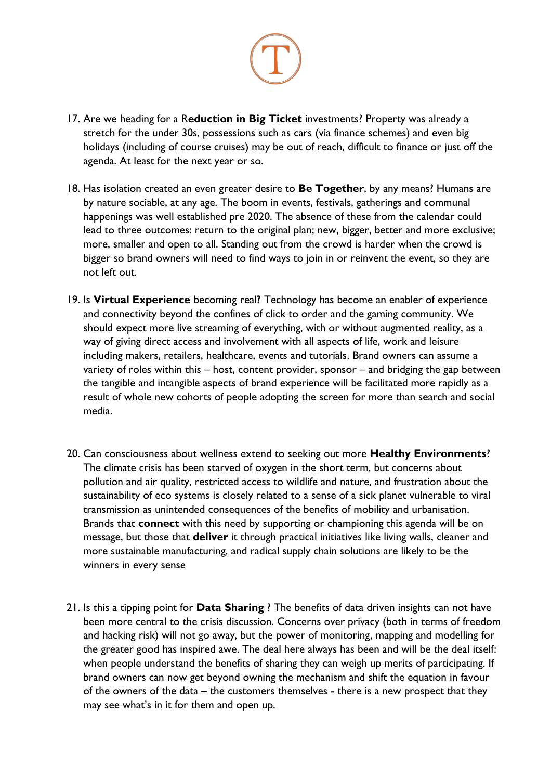

- 17. Are we heading for a R**eduction in Big Ticket** investments? Property was already a stretch for the under 30s, possessions such as cars (via finance schemes) and even big holidays (including of course cruises) may be out of reach, difficult to finance or just off the agenda. At least for the next year or so.
- 18. Has isolation created an even greater desire to **Be Together**, by any means? Humans are by nature sociable, at any age. The boom in events, festivals, gatherings and communal happenings was well established pre 2020. The absence of these from the calendar could lead to three outcomes: return to the original plan; new, bigger, better and more exclusive; more, smaller and open to all. Standing out from the crowd is harder when the crowd is bigger so brand owners will need to find ways to join in or reinvent the event, so they are not left out.
- 19. Is **Virtual Experience** becoming real**?** Technology has become an enabler of experience and connectivity beyond the confines of click to order and the gaming community. We should expect more live streaming of everything, with or without augmented reality, as a way of giving direct access and involvement with all aspects of life, work and leisure including makers, retailers, healthcare, events and tutorials. Brand owners can assume a variety of roles within this – host, content provider, sponsor – and bridging the gap between the tangible and intangible aspects of brand experience will be facilitated more rapidly as a result of whole new cohorts of people adopting the screen for more than search and social media.
- 20. Can consciousness about wellness extend to seeking out more **Healthy Environments**? The climate crisis has been starved of oxygen in the short term, but concerns about pollution and air quality, restricted access to wildlife and nature, and frustration about the sustainability of eco systems is closely related to a sense of a sick planet vulnerable to viral transmission as unintended consequences of the benefits of mobility and urbanisation. Brands that **connect** with this need by supporting or championing this agenda will be on message, but those that **deliver** it through practical initiatives like living walls, cleaner and more sustainable manufacturing, and radical supply chain solutions are likely to be the winners in every sense
- 21. Is this a tipping point for **Data Sharing** ? The benefits of data driven insights can not have been more central to the crisis discussion. Concerns over privacy (both in terms of freedom and hacking risk) will not go away, but the power of monitoring, mapping and modelling for the greater good has inspired awe. The deal here always has been and will be the deal itself: when people understand the benefits of sharing they can weigh up merits of participating. If brand owners can now get beyond owning the mechanism and shift the equation in favour of the owners of the data – the customers themselves - there is a new prospect that they may see what's in it for them and open up.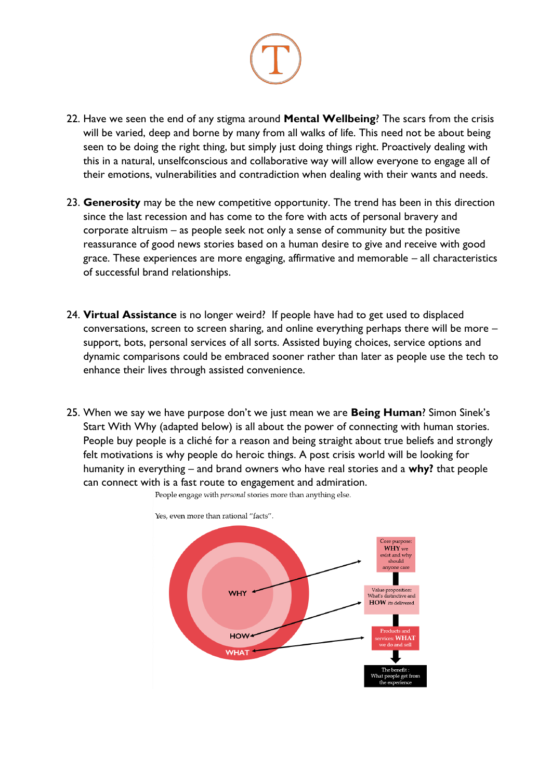

- 22. Have we seen the end of any stigma around **Mental Wellbeing**? The scars from the crisis will be varied, deep and borne by many from all walks of life. This need not be about being seen to be doing the right thing, but simply just doing things right. Proactively dealing with this in a natural, unselfconscious and collaborative way will allow everyone to engage all of their emotions, vulnerabilities and contradiction when dealing with their wants and needs.
- 23. **Generosity** may be the new competitive opportunity. The trend has been in this direction since the last recession and has come to the fore with acts of personal bravery and corporate altruism – as people seek not only a sense of community but the positive reassurance of good news stories based on a human desire to give and receive with good grace. These experiences are more engaging, affirmative and memorable – all characteristics of successful brand relationships.
- 24. **Virtual Assistance** is no longer weird? If people have had to get used to displaced conversations, screen to screen sharing, and online everything perhaps there will be more – support, bots, personal services of all sorts. Assisted buying choices, service options and dynamic comparisons could be embraced sooner rather than later as people use the tech to enhance their lives through assisted convenience.
- 25. When we say we have purpose don't we just mean we are **Being Human**? Simon Sinek's Start With Why (adapted below) is all about the power of connecting with human stories. People buy people is a cliché for a reason and being straight about true beliefs and strongly felt motivations is why people do heroic things. A post crisis world will be looking for humanity in everything – and brand owners who have real stories and a **why?** that people can connect with is a fast route to engagement and admiration.



People engage with *personal* stories more than anything else.